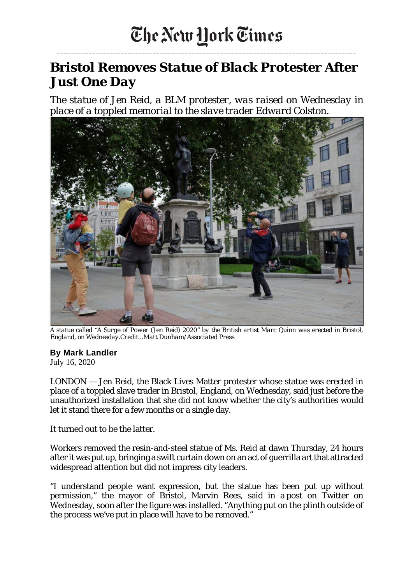\_\_\_\_\_\_\_\_\_\_\_\_\_\_\_\_\_\_\_\_\_\_\_\_\_\_\_\_\_\_\_\_\_\_\_\_\_\_\_\_\_\_\_\_\_\_\_\_\_\_\_\_\_\_\_\_\_\_\_\_\_\_\_\_\_\_\_\_\_\_\_\_\_\_\_\_\_\_\_\_\_\_\_\_

## *Bristol Removes Statue of Black Protester After Just One Day*

*The statue of Jen Reid, a BLM protester, was raised on Wednesday in place of a toppled memorial to the slave trader Edward Colston.*



A statue called "A Surge of Power (Jen Reid) 2020" by the British artist Marc Quinn was erected in Bristol, *England, on Wednesday.Credit...Matt Dunham/Associated Press*

## **By Mark [Landler](https://www.nytimes.com/by/mark-landler)**

July 16, 2020

LONDON — Jen Reid, the Black Lives Matter protester whose statue was erected in place of a toppled slave trader in Bristol, England, on Wednesday, said just before the unauthorized installation that she did not know whether the city's authorities would let it stand there for a few months or a single day.

It turned out to be the latter.

Workers removed the resin-and-steel statue of Ms. Reid at dawn Thursday, 24 hours after it was put up, bringing a swift curtain down on an act of guerrilla art that attracted widespread attention but did not impress city leaders.

"I understand people want expression, but the statue has been put up without permission," the mayor of Bristol, Marvin Rees, said in a post on Twitter on Wednesday, soon after the figure was installed. "Anything put on the plinth outside of the process we've put in place will have to be removed."